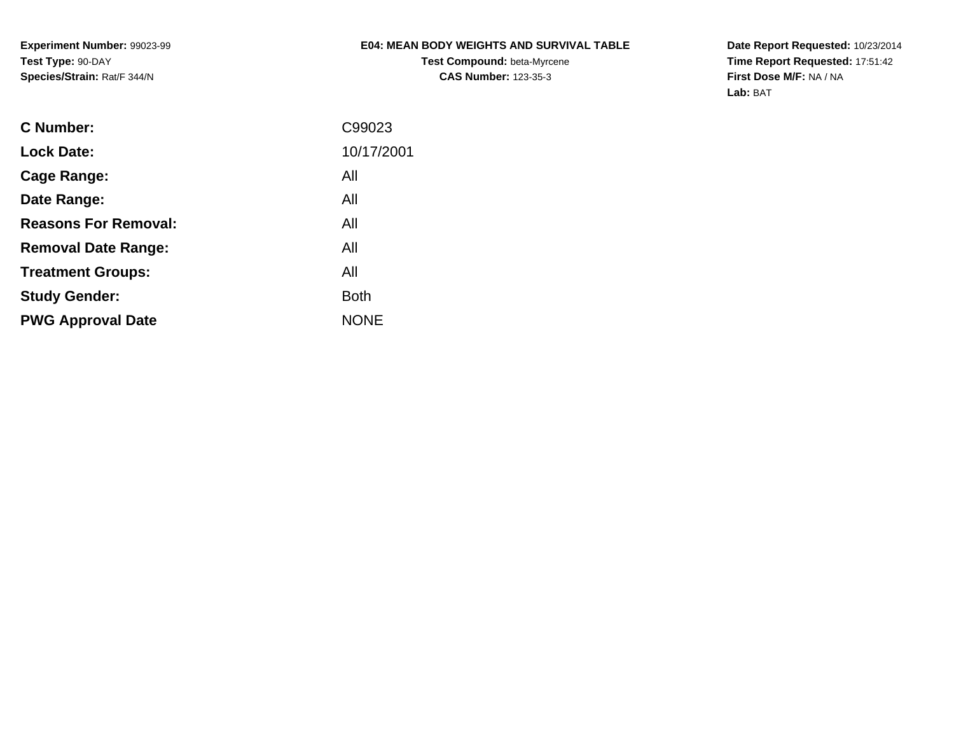# **E04: MEAN BODY WEIGHTS AND SURVIVAL TABLE**

**Test Compound:** beta-Myrcene**CAS Number:** 123-35-3

**Date Report Requested:** 10/23/2014 **Time Report Requested:** 17:51:42**First Dose M/F:** NA / NA**Lab:** BAT

| <b>C</b> Number:            | C99023      |
|-----------------------------|-------------|
| <b>Lock Date:</b>           | 10/17/2001  |
| Cage Range:                 | All         |
| Date Range:                 | All         |
| <b>Reasons For Removal:</b> | All         |
| <b>Removal Date Range:</b>  | All         |
| <b>Treatment Groups:</b>    | All         |
| <b>Study Gender:</b>        | <b>Both</b> |
| <b>PWG Approval Date</b>    | <b>NONE</b> |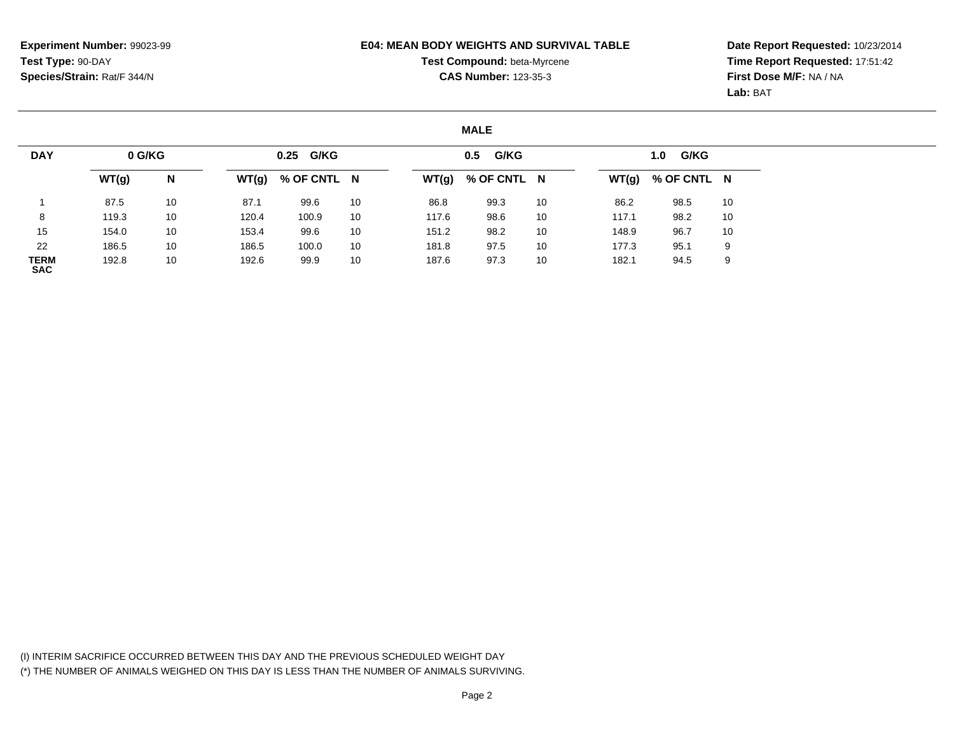### **E04: MEAN BODY WEIGHTS AND SURVIVAL TABLE**

# **Test Compound:** beta-Myrcene**CAS Number:** 123-35-3

**Date Report Requested:** 10/23/2014 **Time Report Requested:** 17:51:42**First Dose M/F:** NA / NA**Lab:** BAT

### **MALE**

| <b>DAY</b>                | 0 G/KG |    |       | 0.25 G/KG   |    |       | G/KG<br>0.5 |    |       | G/KG<br>1.0 |    |
|---------------------------|--------|----|-------|-------------|----|-------|-------------|----|-------|-------------|----|
|                           | WT(g)  | N  | WT(g) | % OF CNTL N |    | WT(g) | % OF CNTL N |    | WT(g) | % OF CNTL N |    |
|                           | 87.5   | 10 | 87.1  | 99.6        | 10 | 86.8  | 99.3        | 10 | 86.2  | 98.5        | 10 |
| 8                         | 119.3  | 10 | 120.4 | 100.9       | 10 | 117.6 | 98.6        | 10 | 117.1 | 98.2        | 10 |
| 15                        | 154.0  | 10 | 153.4 | 99.6        | 10 | 151.2 | 98.2        | 10 | 148.9 | 96.7        | 10 |
| 22                        | 186.5  | 10 | 186.5 | 100.0       | 10 | 181.8 | 97.5        | 10 | 177.3 | 95.1        | 9  |
| <b>TERM</b><br><b>SAC</b> | 192.8  | 10 | 192.6 | 99.9        | 10 | 187.6 | 97.3        | 10 | 182.1 | 94.5        | 9  |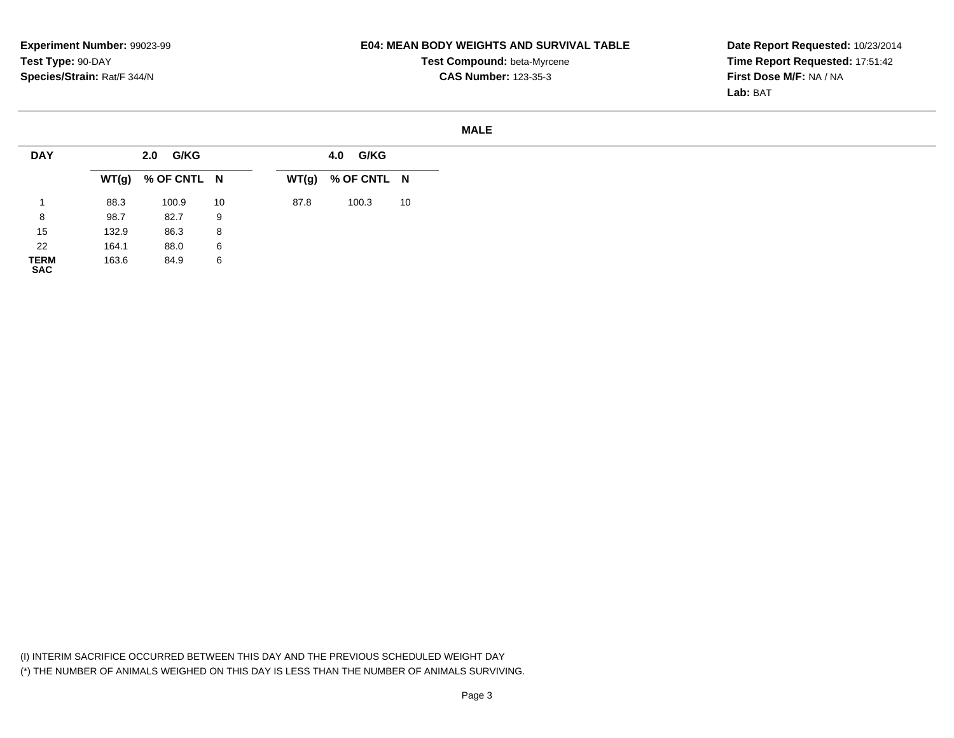**SAC**

# **E04: MEAN BODY WEIGHTS AND SURVIVAL TABLE**

**Test Compound:** beta-Myrcene**CAS Number:** 123-35-3

#### **MALE**

| <b>DAY</b>  |       | 2.0 G/KG            |    |      | 4.0 G/KG            |    |
|-------------|-------|---------------------|----|------|---------------------|----|
|             |       | $WT(g)$ % OF CNTL N |    |      | $WT(g)$ % OF CNTL N |    |
|             | 88.3  | 100.9               | 10 | 87.8 | 100.3               | 10 |
| 8           | 98.7  | 82.7                | 9  |      |                     |    |
| 15          | 132.9 | 86.3                | 8  |      |                     |    |
| 22          | 164.1 | 88.0                | 6  |      |                     |    |
| <b>TERM</b> | 163.6 | 84.9                | 6  |      |                     |    |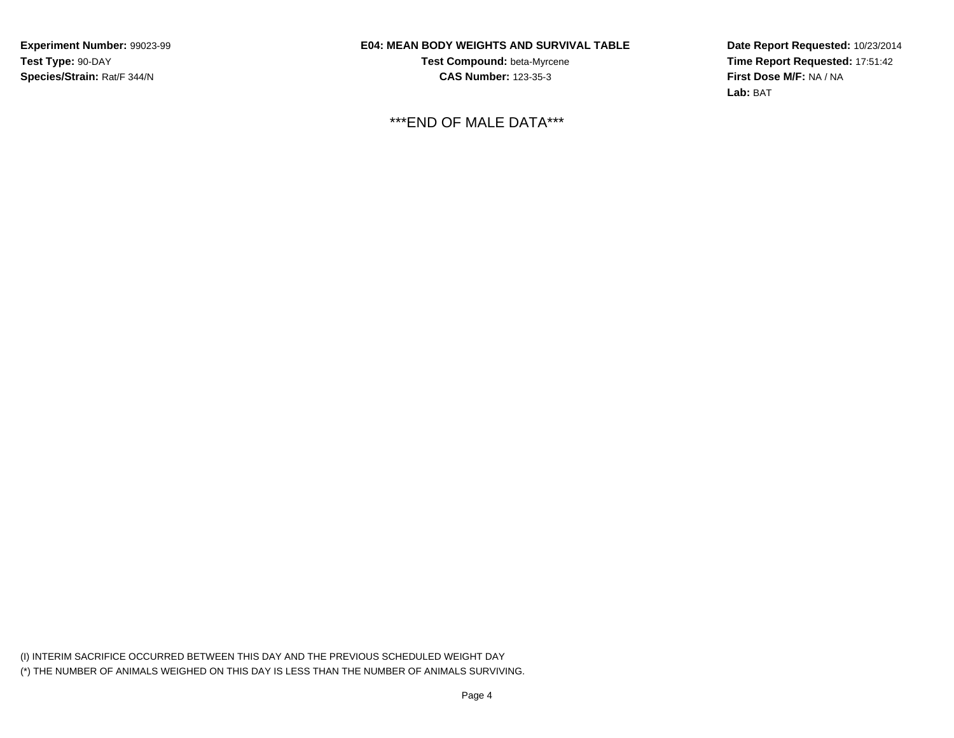# **E04: MEAN BODY WEIGHTS AND SURVIVAL TABLE**

**Test Compound:** beta-Myrcene**CAS Number:** 123-35-3

\*\*\*END OF MALE DATA\*\*\*

**Date Report Requested:** 10/23/2014**Time Report Requested:** 17:51:42**First Dose M/F:** NA / NA**Lab:** BAT

(I) INTERIM SACRIFICE OCCURRED BETWEEN THIS DAY AND THE PREVIOUS SCHEDULED WEIGHT DAY(\*) THE NUMBER OF ANIMALS WEIGHED ON THIS DAY IS LESS THAN THE NUMBER OF ANIMALS SURVIVING.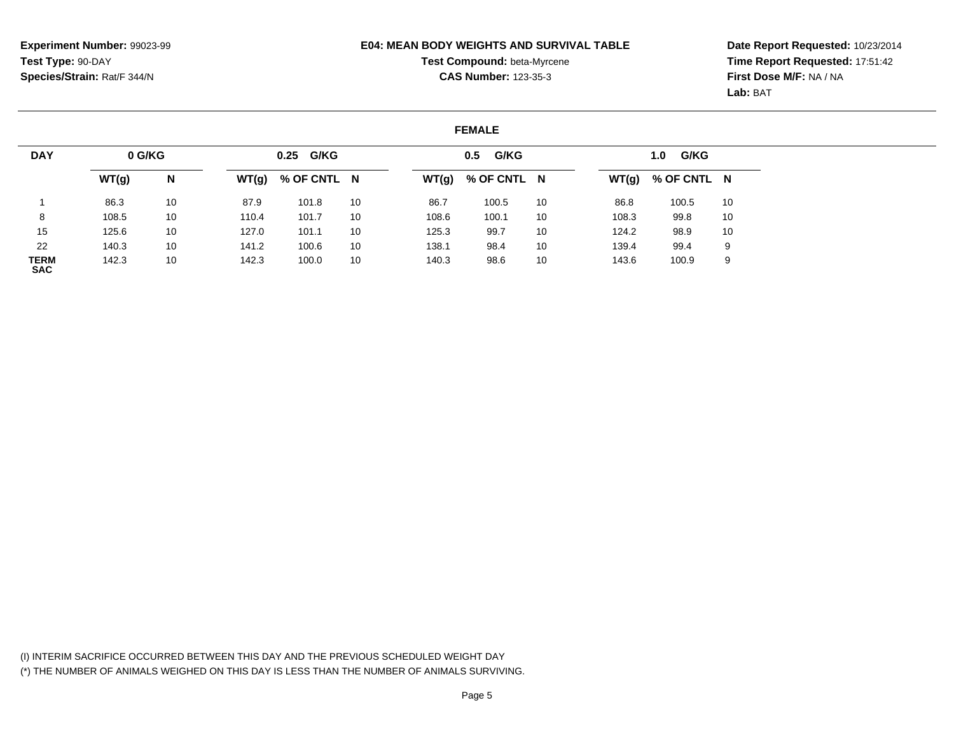### **E04: MEAN BODY WEIGHTS AND SURVIVAL TABLE**

# **Test Compound:** beta-Myrcene**CAS Number:** 123-35-3

**Date Report Requested:** 10/23/2014 **Time Report Requested:** 17:51:42**First Dose M/F:** NA / NA**Lab:** BAT

### **FEMALE**

| <b>DAY</b>                | 0 G/KG |    |       | 0.25 G/KG   |    |       | G/KG<br>0.5 |    |       | G/KG<br>1.0         |    |
|---------------------------|--------|----|-------|-------------|----|-------|-------------|----|-------|---------------------|----|
|                           | WT(g)  | N  | WT(g) | % OF CNTL N |    | WT(g) | % OF CNTL N |    |       | $WT(g)$ % OF CNTL N |    |
|                           | 86.3   | 10 | 87.9  | 101.8       | 10 | 86.7  | 100.5       | 10 | 86.8  | 100.5               | 10 |
| 8                         | 108.5  | 10 | 110.4 | 101.7       | 10 | 108.6 | 100.1       | 10 | 108.3 | 99.8                | 10 |
| 15                        | 125.6  | 10 | 127.0 | 101.1       | 10 | 125.3 | 99.7        | 10 | 124.2 | 98.9                | 10 |
| 22                        | 140.3  | 10 | 141.2 | 100.6       | 10 | 138.1 | 98.4        | 10 | 139.4 | 99.4                | 9  |
| <b>TERM</b><br><b>SAC</b> | 142.3  | 10 | 142.3 | 100.0       | 10 | 140.3 | 98.6        | 10 | 143.6 | 100.9               | 9  |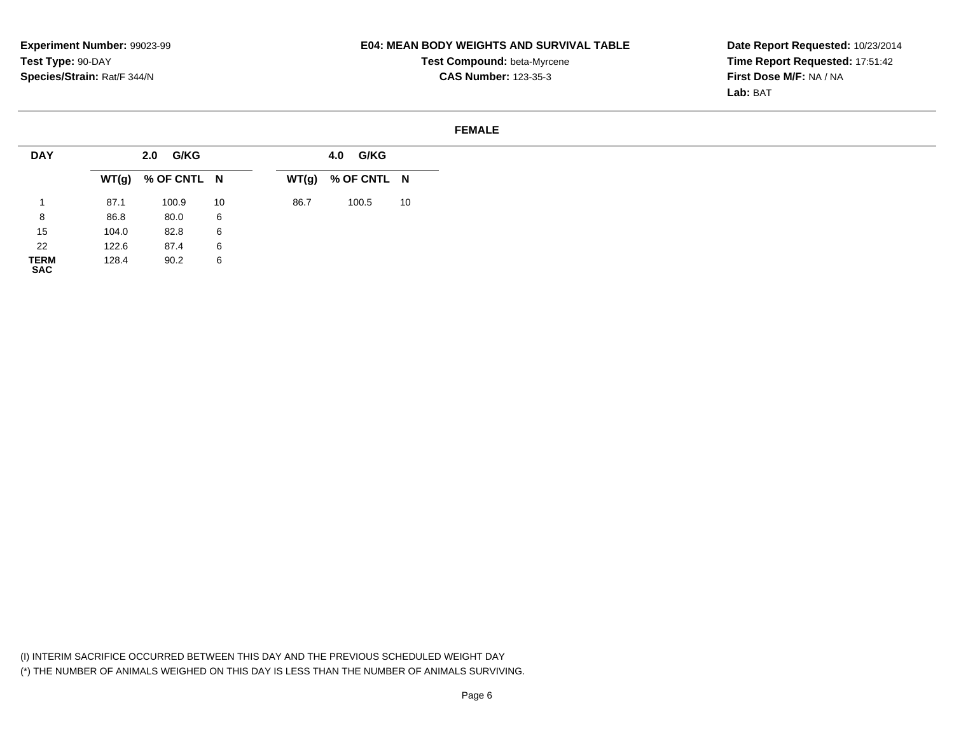**SAC**

# **E04: MEAN BODY WEIGHTS AND SURVIVAL TABLE**

**Test Compound:** beta-Myrcene**CAS Number:** 123-35-3

**Date Report Requested:** 10/23/2014 **Time Report Requested:** 17:51:42**First Dose M/F:** NA / NA**Lab:** BAT

#### **FEMALE**

| <b>DAY</b>  |       | 2.0 G/KG            |    |      | <b>G/KG</b><br>4.0  |    |
|-------------|-------|---------------------|----|------|---------------------|----|
|             |       | $WT(g)$ % OF CNTL N |    |      | $WT(g)$ % OF CNTL N |    |
|             | 87.1  | 100.9               | 10 | 86.7 | 100.5               | 10 |
| 8           | 86.8  | 80.0                | 6  |      |                     |    |
| 15          | 104.0 | 82.8                | 6  |      |                     |    |
| 22          | 122.6 | 87.4                | 6  |      |                     |    |
| <b>TERM</b> | 128.4 | 90.2                | 6  |      |                     |    |

(I) INTERIM SACRIFICE OCCURRED BETWEEN THIS DAY AND THE PREVIOUS SCHEDULED WEIGHT DAY(\*) THE NUMBER OF ANIMALS WEIGHED ON THIS DAY IS LESS THAN THE NUMBER OF ANIMALS SURVIVING.